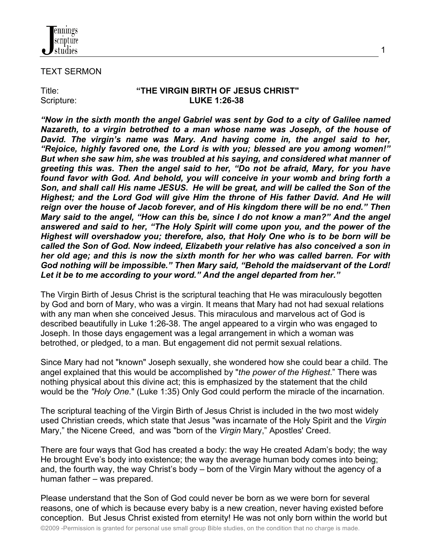

#### TEXT SERMON

#### Title: **"THE VIRGIN BIRTH OF JESUS CHRIST"**  Scripture: **LUKE 1:26-38**

1

*"Now in the sixth month the angel Gabriel was sent by God to a city of Galilee named Nazareth, to a virgin betrothed to a man whose name was Joseph, of the house of David. The virgin's name was Mary. And having come in, the angel said to her, "Rejoice, highly favored one, the Lord is with you; blessed are you among women!" But when she saw him, she was troubled at his saying, and considered what manner of greeting this was. Then the angel said to her, "Do not be afraid, Mary, for you have found favor with God. And behold, you will conceive in your womb and bring forth a Son, and shall call His name JESUS. He will be great, and will be called the Son of the Highest; and the Lord God will give Him the throne of His father David. And He will reign over the house of Jacob forever, and of His kingdom there will be no end." Then Mary said to the angel, "How can this be, since I do not know a man?" And the angel answered and said to her, "The Holy Spirit will come upon you, and the power of the Highest will overshadow you; therefore, also, that Holy One who is to be born will be called the Son of God. Now indeed, Elizabeth your relative has also conceived a son in her old age; and this is now the sixth month for her who was called barren. For with God nothing will be impossible." Then Mary said, "Behold the maidservant of the Lord! Let it be to me according to your word." And the angel departed from her."*

The Virgin Birth of Jesus Christ is the scriptural teaching that He was miraculously begotten by God and born of Mary, who was a virgin. It means that Mary had not had sexual relations with any man when she conceived Jesus. This miraculous and marvelous act of God is described beautifully in Luke 1:26-38. The angel appeared to a virgin who was engaged to Joseph. In those days engagement was a legal arrangement in which a woman was betrothed, or pledged, to a man. But engagement did not permit sexual relations.

Since Mary had not "known" Joseph sexually, she wondered how she could bear a child. The angel explained that this would be accomplished by "*the power of the Highest*." There was nothing physical about this divine act; this is emphasized by the statement that the child would be the *"Holy One.*" (Luke 1:35) Only God could perform the miracle of the incarnation.

The scriptural teaching of the Virgin Birth of Jesus Christ is included in the two most widely used Christian creeds, which state that Jesus "was incarnate of the Holy Spirit and the *Virgin* Mary," the Nicene Creed, and was "born of the *Virgin* Mary," Apostles' Creed.

There are four ways that God has created a body: the way He created Adam's body; the way He brought Eve's body into existence; the way the average human body comes into being; and, the fourth way, the way Christ's body – born of the Virgin Mary without the agency of a human father – was prepared.

Please understand that the Son of God could never be born as we were born for several reasons, one of which is because every baby is a new creation, never having existed before conception. But Jesus Christ existed from eternity! He was not only born within the world but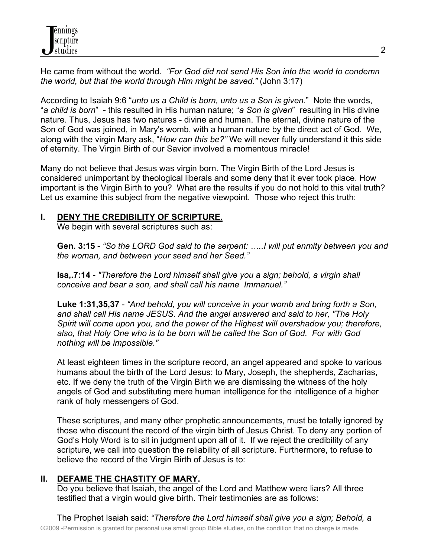He came from without the world. *"For God did not send His Son into the world to condemn the world, but that the world through Him might be saved."* (John 3:17)

According to Isaiah 9:6 "*unto us a Child is born, unto us a Son is given.*" Note the words, "*a child is born*" - this resulted in His human nature; "*a Son is given*" resulting in His divine nature. Thus, Jesus has two natures - divine and human. The eternal, divine nature of the Son of God was joined, in Mary's womb, with a human nature by the direct act of God. We, along with the virgin Mary ask, "*How can this be?"* We will never fully understand it this side of eternity. The Virgin Birth of our Savior involved a momentous miracle!

Many do not believe that Jesus was virgin born. The Virgin Birth of the Lord Jesus is considered unimportant by theological liberals and some deny that it ever took place. How important is the Virgin Birth to you? What are the results if you do not hold to this vital truth? Let us examine this subject from the negative viewpoint. Those who reject this truth:

## **I. DENY THE CREDIBILITY OF SCRIPTURE.**

We begin with several scriptures such as:

 **Gen. 3:15** - *"So the LORD God said to the serpent: …..I will put enmity between you and the woman, and between your seed and her Seed."* 

 **Isa,.7:14** - *"Therefore the Lord himself shall give you a sign; behold, a virgin shall conceive and bear a son, and shall call his name Immanuel."*

 **Luke 1:31,35,37** - *"And behold, you will conceive in your womb and bring forth a Son, and shall call His name JESUS. And the angel answered and said to her, "The Holy Spirit will come upon you, and the power of the Highest will overshadow you; therefore, also, that Holy One who is to be born will be called the Son of God. For with God nothing will be impossible."*

 At least eighteen times in the scripture record, an angel appeared and spoke to various humans about the birth of the Lord Jesus: to Mary, Joseph, the shepherds, Zacharias, etc. If we deny the truth of the Virgin Birth we are dismissing the witness of the holy angels of God and substituting mere human intelligence for the intelligence of a higher rank of holy messengers of God.

 These scriptures, and many other prophetic announcements, must be totally ignored by those who discount the record of the virgin birth of Jesus Christ. To deny any portion of God's Holy Word is to sit in judgment upon all of it. If we reject the credibility of any scripture, we call into question the reliability of all scripture. Furthermore, to refuse to believe the record of the Virgin Birth of Jesus is to:

## **II. DEFAME THE CHASTITY OF MARY.**

Do you believe that Isaiah, the angel of the Lord and Matthew were liars? All three testified that a virgin would give birth. Their testimonies are as follows: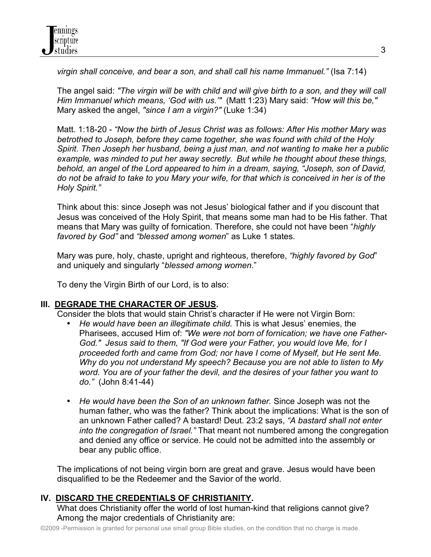*virgin shall conceive, and bear a son, and shall call his name Immanuel."* (Isa 7:14)

 The angel said: *"The virgin will be with child and will give birth to a son, and they will call Him Immanuel which means, 'God with us.'"* (Matt 1:23) Mary said: *"How will this be,"* Mary asked the angel, *"since I am a virgin?"* (Luke 1:34)

 Matt. 1:18-20 - *"Now the birth of Jesus Christ was as follows: After His mother Mary was betrothed to Joseph, before they came together, she was found with child of the Holy Spirit. Then Joseph her husband, being a just man, and not wanting to make her a public example, was minded to put her away secretly. But while he thought about these things, behold, an angel of the Lord appeared to him in a dream, saying, "Joseph, son of David, do not be afraid to take to you Mary your wife, for that which is conceived in her is of the Holy Spirit."*

 Think about this: since Joseph was not Jesus' biological father and if you discount that Jesus was conceived of the Holy Spirit, that means some man had to be His father. That means that Mary was guilty of fornication. Therefore, she could not have been "*highly favored by God"* and *"blessed among women*" as Luke 1 states.

 Mary was pure, holy, chaste, upright and righteous, therefore, *"highly favored by God*" and uniquely and singularly "*blessed among women*."

To deny the Virgin Birth of our Lord, is to also:

# **III. DEGRADE THE CHARACTER OF JESUS.**

Consider the blots that would stain Christ's character if He were not Virgin Born:

- *He would have been an illegitimate child.* This is what Jesus' enemies, the Pharisees, accused Him of: *"We were not born of fornication; we have one Father-God." Jesus said to them, "If God were your Father, you would love Me, for I proceeded forth and came from God; nor have I come of Myself, but He sent Me. Why do you not understand My speech? Because you are not able to listen to My word. You are of your father the devil, and the desires of your father you want to do."* (John 8:41-44)
- *He would have been the Son of an unknown father.* Since Joseph was not the human father, who was the father? Think about the implications: What is the son of an unknown Father called? A bastard! Deut. 23:2 says, *"A bastard shall not enter into the congregation of Israel."* That meant not numbered among the congregation and denied any office or service. He could not be admitted into the assembly or bear any public office.

 The implications of not being virgin born are great and grave. Jesus would have been disqualified to be the Redeemer and the Savior of the world.

# **IV. DISCARD THE CREDENTIALS OF CHRISTIANITY.**

 What does Christianity offer the world of lost human-kind that religions cannot give? Among the major credentials of Christianity are: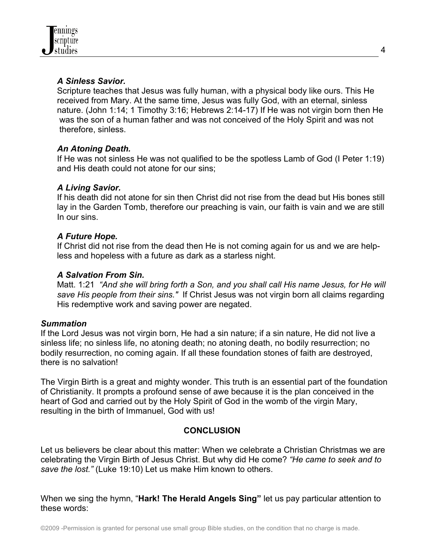

## *A Sinless Savior.*

 Scripture teaches that Jesus was fully human, with a physical body like ours. This He received from Mary. At the same time, Jesus was fully God, with an eternal, sinless nature. (John 1:14; 1 Timothy 3:16; Hebrews 2:14-17) If He was not virgin born then He was the son of a human father and was not conceived of the Holy Spirit and was not therefore, sinless.

## *An Atoning Death.*

 If He was not sinless He was not qualified to be the spotless Lamb of God (I Peter 1:19) and His death could not atone for our sins;

## *A Living Savior.*

 If his death did not atone for sin then Christ did not rise from the dead but His bones still lay in the Garden Tomb, therefore our preaching is vain, our faith is vain and we are still In our sins.

## *A Future Hope.*

 If Christ did not rise from the dead then He is not coming again for us and we are help less and hopeless with a future as dark as a starless night.

#### *A Salvation From Sin.*

 Matt. 1:21 *"And she will bring forth a Son, and you shall call His name Jesus, for He will save His people from their sins."* If Christ Jesus was not virgin born all claims regarding His redemptive work and saving power are negated.

## *Summation*

If the Lord Jesus was not virgin born, He had a sin nature; if a sin nature, He did not live a sinless life; no sinless life, no atoning death; no atoning death, no bodily resurrection; no bodily resurrection, no coming again. If all these foundation stones of faith are destroyed, there is no salvation!

The Virgin Birth is a great and mighty wonder. This truth is an essential part of the foundation of Christianity. It prompts a profound sense of awe because it is the plan conceived in the heart of God and carried out by the Holy Spirit of God in the womb of the virgin Mary, resulting in the birth of Immanuel, God with us!

## **CONCLUSION**

Let us believers be clear about this matter: When we celebrate a Christian Christmas we are celebrating the Virgin Birth of Jesus Christ. But why did He come? *"He came to seek and to save the lost."* (Luke 19:10) Let us make Him known to others.

When we sing the hymn, "**Hark! The Herald Angels Sing"** let us pay particular attention to these words: